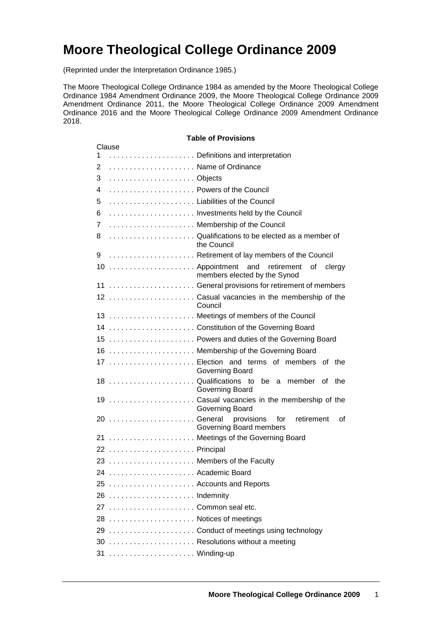# **Moore Theological College Ordinance 2009**

(Reprinted under the Interpretation Ordinance 1985.)

The Moore Theological College Ordinance 1984 as amended by the Moore Theological College Ordinance 1984 Amendment Ordinance 2009, the Moore Theological College Ordinance 2009 Amendment Ordinance 2011, the Moore Theological College Ordinance 2009 Amendment Ordinance 2016 and the Moore Theological College Ordinance 2009 Amendment Ordinance 2018.

| <b>Table of Provisions</b> |        |                                                                                 |  |
|----------------------------|--------|---------------------------------------------------------------------------------|--|
| 1                          | Clause | Definitions and interpretation                                                  |  |
| $\overline{2}$             |        | Name of Ordinance                                                               |  |
| 3                          |        |                                                                                 |  |
|                            |        | Powers of the Council                                                           |  |
| 4                          |        |                                                                                 |  |
| 5                          |        | Liabilities of the Council                                                      |  |
| 6                          |        | Investments held by the Council                                                 |  |
| 7                          |        | Membership of the Council                                                       |  |
| 8                          |        | Qualifications to be elected as a member of<br>the Council                      |  |
| 9                          |        | Retirement of lay members of the Council                                        |  |
|                            |        | 10  Appointment and retirement of<br>clergy<br>members elected by the Synod     |  |
|                            |        | 11  General provisions for retirement of members                                |  |
|                            |        | 12  Casual vacancies in the membership of the<br>Council                        |  |
|                            |        | 13  Meetings of members of the Council                                          |  |
|                            |        | 14  Constitution of the Governing Board                                         |  |
|                            |        | 15  Powers and duties of the Governing Board                                    |  |
|                            |        | 16  Membership of the Governing Board                                           |  |
|                            |        | 17  Election and terms of members<br>of the<br>Governing Board                  |  |
|                            |        | 18 Qualifications to be a member of<br>the<br>Governing Board                   |  |
|                            |        | 19  Casual vacancies in the membership of the<br>Governing Board                |  |
|                            |        | 20  General<br>provisions<br>retirement<br>for<br>0f<br>Governing Board members |  |
|                            |        | 21  Meetings of the Governing Board                                             |  |
|                            |        | 22  Principal                                                                   |  |
|                            |        | 23  Members of the Faculty                                                      |  |
|                            |        | 24  Academic Board                                                              |  |
|                            |        | 25  Accounts and Reports                                                        |  |
|                            |        | 26  Indemnity                                                                   |  |
|                            |        | 27 Common seal etc.                                                             |  |
|                            |        | 28  Notices of meetings                                                         |  |
|                            |        | 29  Conduct of meetings using technology                                        |  |
|                            |        | 30  Resolutions without a meeting                                               |  |
|                            |        | 31  Winding-up                                                                  |  |
|                            |        |                                                                                 |  |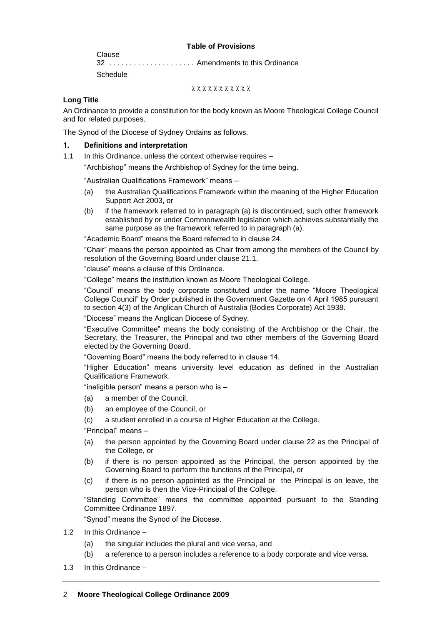#### **Table of Provisions**

Clause 32 . . . . . . . . . . . . . . . . . . . . . Amendments to this Ordinance **Schedule** 

xxxxxxxxxxx

# **Long Title**

An Ordinance to provide a constitution for the body known as Moore Theological College Council and for related purposes.

The Synod of the Diocese of Sydney Ordains as follows.

## **1. Definitions and interpretation**

1.1 In this Ordinance, unless the context otherwise requires –

"Archbishop" means the Archbishop of Sydney for the time being.

"Australian Qualifications Framework" means –

- (a) the Australian Qualifications Framework within the meaning of the Higher Education Support Act 2003, or
- (b) if the framework referred to in paragraph (a) is discontinued, such other framework established by or under Commonwealth legislation which achieves substantially the same purpose as the framework referred to in paragraph (a).

"Academic Board" means the Board referred to in clause 24.

"Chair" means the person appointed as Chair from among the members of the Council by resolution of the Governing Board under clause 21.1.

"clause" means a clause of this Ordinance.

"College" means the institution known as Moore Theological College.

"Council" means the body corporate constituted under the name "Moore Theological College Council" by Order published in the Government Gazette on 4 April 1985 pursuant to section 4(3) of the Anglican Church of Australia (Bodies Corporate) Act 1938.

"Diocese" means the Anglican Diocese of Sydney.

"Executive Committee" means the body consisting of the Archbishop or the Chair, the Secretary, the Treasurer, the Principal and two other members of the Governing Board elected by the Governing Board.

"Governing Board" means the body referred to in clause 14.

"Higher Education" means university level education as defined in the Australian Qualifications Framework.

"ineligible person" means a person who is –

- (a) a member of the Council,
- (b) an employee of the Council, or
- (c) a student enrolled in a course of Higher Education at the College.

"Principal" means –

- (a) the person appointed by the Governing Board under clause 22 as the Principal of the College, or
- (b) if there is no person appointed as the Principal, the person appointed by the Governing Board to perform the functions of the Principal, or
- (c) if there is no person appointed as the Principal or the Principal is on leave, the person who is then the Vice-Principal of the College.

"Standing Committee" means the committee appointed pursuant to the Standing Committee Ordinance 1897.

"Synod" means the Synod of the Diocese.

- 1.2 In this Ordinance
	- (a) the singular includes the plural and vice versa, and
	- (b) a reference to a person includes a reference to a body corporate and vice versa.
- 1.3 In this Ordinance –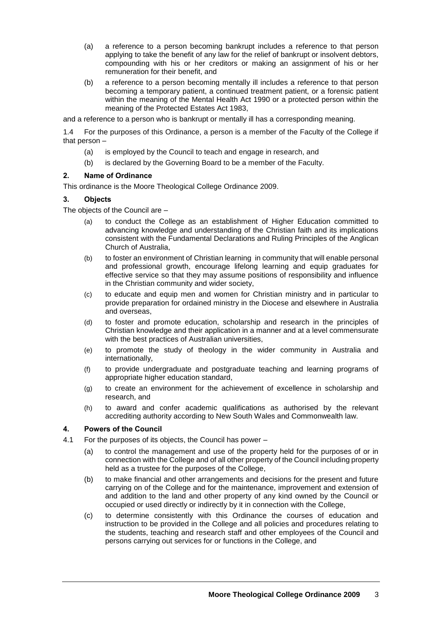- (a) a reference to a person becoming bankrupt includes a reference to that person applying to take the benefit of any law for the relief of bankrupt or insolvent debtors, compounding with his or her creditors or making an assignment of his or her remuneration for their benefit, and
- (b) a reference to a person becoming mentally ill includes a reference to that person becoming a temporary patient, a continued treatment patient, or a forensic patient within the meaning of the Mental Health Act 1990 or a protected person within the meaning of the Protected Estates Act 1983,

and a reference to a person who is bankrupt or mentally ill has a corresponding meaning.

1.4 For the purposes of this Ordinance, a person is a member of the Faculty of the College if that person –

- (a) is employed by the Council to teach and engage in research, and
- (b) is declared by the Governing Board to be a member of the Faculty.

#### **2. Name of Ordinance**

This ordinance is the Moore Theological College Ordinance 2009.

## **3. Objects**

The objects of the Council are –

- (a) to conduct the College as an establishment of Higher Education committed to advancing knowledge and understanding of the Christian faith and its implications consistent with the Fundamental Declarations and Ruling Principles of the Anglican Church of Australia,
- (b) to foster an environment of Christian learning in community that will enable personal and professional growth, encourage lifelong learning and equip graduates for effective service so that they may assume positions of responsibility and influence in the Christian community and wider society,
- (c) to educate and equip men and women for Christian ministry and in particular to provide preparation for ordained ministry in the Diocese and elsewhere in Australia and overseas,
- (d) to foster and promote education, scholarship and research in the principles of Christian knowledge and their application in a manner and at a level commensurate with the best practices of Australian universities,
- (e) to promote the study of theology in the wider community in Australia and internationally,
- (f) to provide undergraduate and postgraduate teaching and learning programs of appropriate higher education standard,
- (g) to create an environment for the achievement of excellence in scholarship and research, and
- (h) to award and confer academic qualifications as authorised by the relevant accrediting authority according to New South Wales and Commonwealth law.

## **4. Powers of the Council**

- 4.1 For the purposes of its objects, the Council has power
	- (a) to control the management and use of the property held for the purposes of or in connection with the College and of all other property of the Council including property held as a trustee for the purposes of the College,
	- (b) to make financial and other arrangements and decisions for the present and future carrying on of the College and for the maintenance, improvement and extension of and addition to the land and other property of any kind owned by the Council or occupied or used directly or indirectly by it in connection with the College,
	- (c) to determine consistently with this Ordinance the courses of education and instruction to be provided in the College and all policies and procedures relating to the students, teaching and research staff and other employees of the Council and persons carrying out services for or functions in the College, and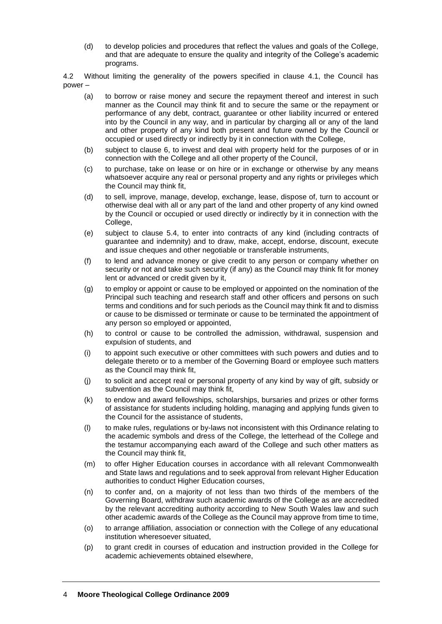(d) to develop policies and procedures that reflect the values and goals of the College, and that are adequate to ensure the quality and integrity of the College's academic programs.

4.2 Without limiting the generality of the powers specified in clause 4.1, the Council has power –

- (a) to borrow or raise money and secure the repayment thereof and interest in such manner as the Council may think fit and to secure the same or the repayment or performance of any debt, contract, guarantee or other liability incurred or entered into by the Council in any way, and in particular by charging all or any of the land and other property of any kind both present and future owned by the Council or occupied or used directly or indirectly by it in connection with the College,
- (b) subject to clause 6, to invest and deal with property held for the purposes of or in connection with the College and all other property of the Council,
- (c) to purchase, take on lease or on hire or in exchange or otherwise by any means whatsoever acquire any real or personal property and any rights or privileges which the Council may think fit,
- (d) to sell, improve, manage, develop, exchange, lease, dispose of, turn to account or otherwise deal with all or any part of the land and other property of any kind owned by the Council or occupied or used directly or indirectly by it in connection with the College,
- (e) subject to clause 5.4, to enter into contracts of any kind (including contracts of guarantee and indemnity) and to draw, make, accept, endorse, discount, execute and issue cheques and other negotiable or transferable instruments,
- (f) to lend and advance money or give credit to any person or company whether on security or not and take such security (if any) as the Council may think fit for money lent or advanced or credit given by it,
- (g) to employ or appoint or cause to be employed or appointed on the nomination of the Principal such teaching and research staff and other officers and persons on such terms and conditions and for such periods as the Council may think fit and to dismiss or cause to be dismissed or terminate or cause to be terminated the appointment of any person so employed or appointed,
- (h) to control or cause to be controlled the admission, withdrawal, suspension and expulsion of students, and
- (i) to appoint such executive or other committees with such powers and duties and to delegate thereto or to a member of the Governing Board or employee such matters as the Council may think fit,
- (j) to solicit and accept real or personal property of any kind by way of gift, subsidy or subvention as the Council may think fit,
- (k) to endow and award fellowships, scholarships, bursaries and prizes or other forms of assistance for students including holding, managing and applying funds given to the Council for the assistance of students,
- (l) to make rules, regulations or by-laws not inconsistent with this Ordinance relating to the academic symbols and dress of the College, the letterhead of the College and the testamur accompanying each award of the College and such other matters as the Council may think fit,
- (m) to offer Higher Education courses in accordance with all relevant Commonwealth and State laws and regulations and to seek approval from relevant Higher Education authorities to conduct Higher Education courses,
- (n) to confer and, on a majority of not less than two thirds of the members of the Governing Board, withdraw such academic awards of the College as are accredited by the relevant accrediting authority according to New South Wales law and such other academic awards of the College as the Council may approve from time to time,
- (o) to arrange affiliation, association or connection with the College of any educational institution wheresoever situated,
- (p) to grant credit in courses of education and instruction provided in the College for academic achievements obtained elsewhere,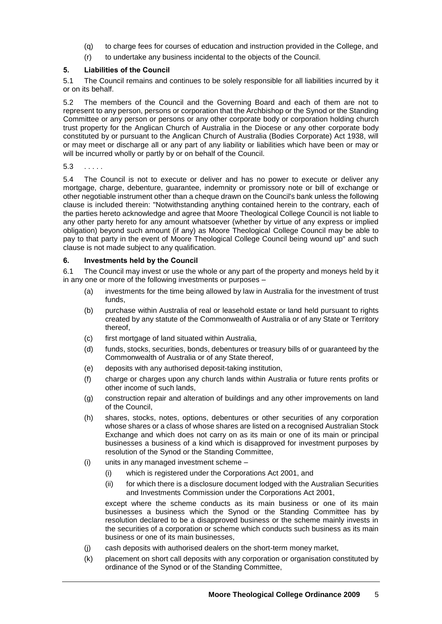- (q) to charge fees for courses of education and instruction provided in the College, and
- (r) to undertake any business incidental to the objects of the Council.

## **5. Liabilities of the Council**

5.1 The Council remains and continues to be solely responsible for all liabilities incurred by it or on its behalf.

5.2 The members of the Council and the Governing Board and each of them are not to represent to any person, persons or corporation that the Archbishop or the Synod or the Standing Committee or any person or persons or any other corporate body or corporation holding church trust property for the Anglican Church of Australia in the Diocese or any other corporate body constituted by or pursuant to the Anglican Church of Australia (Bodies Corporate) Act 1938, will or may meet or discharge all or any part of any liability or liabilities which have been or may or will be incurred wholly or partly by or on behalf of the Council.

5.3 . . . . .

5.4 The Council is not to execute or deliver and has no power to execute or deliver any mortgage, charge, debenture, guarantee, indemnity or promissory note or bill of exchange or other negotiable instrument other than a cheque drawn on the Council's bank unless the following clause is included therein: "Notwithstanding anything contained herein to the contrary, each of the parties hereto acknowledge and agree that Moore Theological College Council is not liable to any other party hereto for any amount whatsoever (whether by virtue of any express or implied obligation) beyond such amount (if any) as Moore Theological College Council may be able to pay to that party in the event of Moore Theological College Council being wound up" and such clause is not made subject to any qualification.

#### **6. Investments held by the Council**

6.1 The Council may invest or use the whole or any part of the property and moneys held by it in any one or more of the following investments or purposes –

- (a) investments for the time being allowed by law in Australia for the investment of trust funds,
- (b) purchase within Australia of real or leasehold estate or land held pursuant to rights created by any statute of the Commonwealth of Australia or of any State or Territory thereof,
- (c) first mortgage of land situated within Australia,
- (d) funds, stocks, securities, bonds, debentures or treasury bills of or guaranteed by the Commonwealth of Australia or of any State thereof,
- (e) deposits with any authorised deposit-taking institution,
- (f) charge or charges upon any church lands within Australia or future rents profits or other income of such lands,
- (g) construction repair and alteration of buildings and any other improvements on land of the Council,
- (h) shares, stocks, notes, options, debentures or other securities of any corporation whose shares or a class of whose shares are listed on a recognised Australian Stock Exchange and which does not carry on as its main or one of its main or principal businesses a business of a kind which is disapproved for investment purposes by resolution of the Synod or the Standing Committee,
- (i) units in any managed investment scheme
	- (i) which is registered under the Corporations Act 2001, and
	- (ii) for which there is a disclosure document lodged with the Australian Securities and Investments Commission under the Corporations Act 2001,

except where the scheme conducts as its main business or one of its main businesses a business which the Synod or the Standing Committee has by resolution declared to be a disapproved business or the scheme mainly invests in the securities of a corporation or scheme which conducts such business as its main business or one of its main businesses,

- (j) cash deposits with authorised dealers on the short-term money market,
- (k) placement on short call deposits with any corporation or organisation constituted by ordinance of the Synod or of the Standing Committee,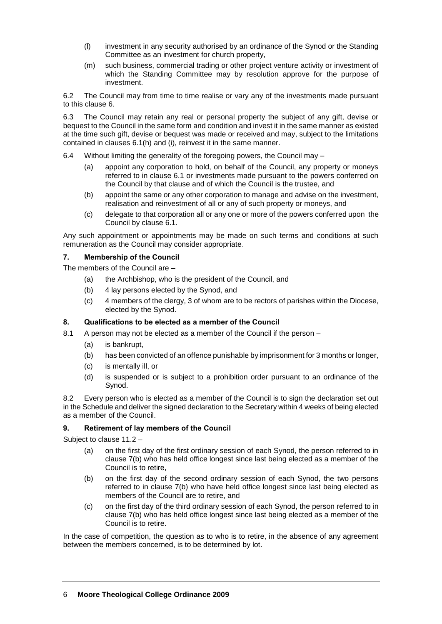- (l) investment in any security authorised by an ordinance of the Synod or the Standing Committee as an investment for church property,
- (m) such business, commercial trading or other project venture activity or investment of which the Standing Committee may by resolution approve for the purpose of investment.

6.2 The Council may from time to time realise or vary any of the investments made pursuant to this clause 6.

6.3 The Council may retain any real or personal property the subject of any gift, devise or bequest to the Council in the same form and condition and invest it in the same manner as existed at the time such gift, devise or bequest was made or received and may, subject to the limitations contained in clauses 6.1(h) and (i), reinvest it in the same manner.

6.4 Without limiting the generality of the foregoing powers, the Council may –

- (a) appoint any corporation to hold, on behalf of the Council, any property or moneys referred to in clause 6.1 or investments made pursuant to the powers conferred on the Council by that clause and of which the Council is the trustee, and
- (b) appoint the same or any other corporation to manage and advise on the investment, realisation and reinvestment of all or any of such property or moneys, and
- (c) delegate to that corporation all or any one or more of the powers conferred upon the Council by clause 6.1.

Any such appointment or appointments may be made on such terms and conditions at such remuneration as the Council may consider appropriate.

#### **7. Membership of the Council**

The members of the Council are –

- (a) the Archbishop, who is the president of the Council, and
- (b) 4 lay persons elected by the Synod, and
- (c) 4 members of the clergy, 3 of whom are to be rectors of parishes within the Diocese, elected by the Synod.

## **8. Qualifications to be elected as a member of the Council**

- 8.1 A person may not be elected as a member of the Council if the person
	- (a) is bankrupt,
	- (b) has been convicted of an offence punishable by imprisonment for 3 months or longer,
	- (c) is mentally ill, or
	- (d) is suspended or is subject to a prohibition order pursuant to an ordinance of the Synod.

8.2 Every person who is elected as a member of the Council is to sign the declaration set out in the Schedule and deliver the signed declaration to the Secretary within 4 weeks of being elected as a member of the Council.

## **9. Retirement of lay members of the Council**

Subject to clause 11.2 –

- (a) on the first day of the first ordinary session of each Synod, the person referred to in clause 7(b) who has held office longest since last being elected as a member of the Council is to retire,
- (b) on the first day of the second ordinary session of each Synod, the two persons referred to in clause 7(b) who have held office longest since last being elected as members of the Council are to retire, and
- (c) on the first day of the third ordinary session of each Synod, the person referred to in clause 7(b) who has held office longest since last being elected as a member of the Council is to retire.

In the case of competition, the question as to who is to retire, in the absence of any agreement between the members concerned, is to be determined by lot.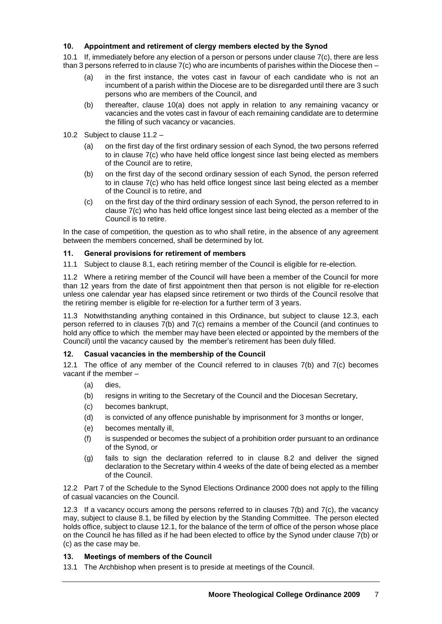## **10. Appointment and retirement of clergy members elected by the Synod**

10.1 If, immediately before any election of a person or persons under clause 7(c), there are less than 3 persons referred to in clause 7(c) who are incumbents of parishes within the Diocese then –

- (a) in the first instance, the votes cast in favour of each candidate who is not an incumbent of a parish within the Diocese are to be disregarded until there are 3 such persons who are members of the Council, and
- (b) thereafter, clause 10(a) does not apply in relation to any remaining vacancy or vacancies and the votes cast in favour of each remaining candidate are to determine the filling of such vacancy or vacancies.
- 10.2 Subject to clause 11.2
	- (a) on the first day of the first ordinary session of each Synod, the two persons referred to in clause 7(c) who have held office longest since last being elected as members of the Council are to retire,
	- (b) on the first day of the second ordinary session of each Synod, the person referred to in clause 7(c) who has held office longest since last being elected as a member of the Council is to retire, and
	- (c) on the first day of the third ordinary session of each Synod, the person referred to in clause 7(c) who has held office longest since last being elected as a member of the Council is to retire.

In the case of competition, the question as to who shall retire, in the absence of any agreement between the members concerned, shall be determined by lot.

## **11. General provisions for retirement of members**

11.1 Subject to clause 8.1, each retiring member of the Council is eligible for re-election.

11.2 Where a retiring member of the Council will have been a member of the Council for more than 12 years from the date of first appointment then that person is not eligible for re-election unless one calendar year has elapsed since retirement or two thirds of the Council resolve that the retiring member is eligible for re-election for a further term of 3 years.

11.3 Notwithstanding anything contained in this Ordinance, but subject to clause 12.3, each person referred to in clauses 7(b) and 7(c) remains a member of the Council (and continues to hold any office to which the member may have been elected or appointed by the members of the Council) until the vacancy caused by the member's retirement has been duly filled.

## **12. Casual vacancies in the membership of the Council**

12.1 The office of any member of the Council referred to in clauses  $7(b)$  and  $7(c)$  becomes vacant if the member –

- (a) dies,
- (b) resigns in writing to the Secretary of the Council and the Diocesan Secretary,
- (c) becomes bankrupt,
- (d) is convicted of any offence punishable by imprisonment for 3 months or longer,
- (e) becomes mentally ill,
- (f) is suspended or becomes the subject of a prohibition order pursuant to an ordinance of the Synod, or
- (g) fails to sign the declaration referred to in clause 8.2 and deliver the signed declaration to the Secretary within 4 weeks of the date of being elected as a member of the Council.

12.2 Part 7 of the Schedule to the Synod Elections Ordinance 2000 does not apply to the filling of casual vacancies on the Council.

12.3 If a vacancy occurs among the persons referred to in clauses 7(b) and 7(c), the vacancy may, subject to clause 8.1, be filled by election by the Standing Committee. The person elected holds office, subject to clause 12.1, for the balance of the term of office of the person whose place on the Council he has filled as if he had been elected to office by the Synod under clause 7(b) or (c) as the case may be.

## **13. Meetings of members of the Council**

13.1 The Archbishop when present is to preside at meetings of the Council.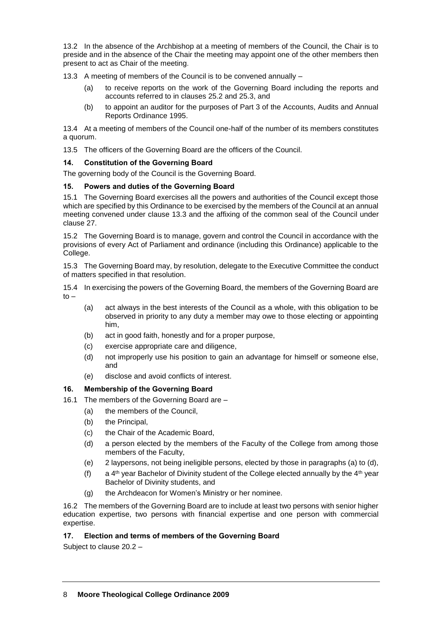13.2 In the absence of the Archbishop at a meeting of members of the Council, the Chair is to preside and in the absence of the Chair the meeting may appoint one of the other members then present to act as Chair of the meeting.

13.3 A meeting of members of the Council is to be convened annually –

- (a) to receive reports on the work of the Governing Board including the reports and accounts referred to in clauses 25.2 and 25.3, and
- (b) to appoint an auditor for the purposes of Part 3 of the Accounts, Audits and Annual Reports Ordinance 1995.

13.4 At a meeting of members of the Council one-half of the number of its members constitutes a quorum.

13.5 The officers of the Governing Board are the officers of the Council.

# **14. Constitution of the Governing Board**

The governing body of the Council is the Governing Board.

# **15. Powers and duties of the Governing Board**

15.1 The Governing Board exercises all the powers and authorities of the Council except those which are specified by this Ordinance to be exercised by the members of the Council at an annual meeting convened under clause 13.3 and the affixing of the common seal of the Council under clause 27.

15.2 The Governing Board is to manage, govern and control the Council in accordance with the provisions of every Act of Parliament and ordinance (including this Ordinance) applicable to the College.

15.3 The Governing Board may, by resolution, delegate to the Executive Committee the conduct of matters specified in that resolution.

15.4 In exercising the powers of the Governing Board, the members of the Governing Board are  $to -$ 

- (a) act always in the best interests of the Council as a whole, with this obligation to be observed in priority to any duty a member may owe to those electing or appointing him,
- (b) act in good faith, honestly and for a proper purpose,
- (c) exercise appropriate care and diligence,
- (d) not improperly use his position to gain an advantage for himself or someone else, and
- (e) disclose and avoid conflicts of interest.

## **16. Membership of the Governing Board**

- 16.1 The members of the Governing Board are
	- (a) the members of the Council,
	- (b) the Principal,
	- (c) the Chair of the Academic Board,
	- (d) a person elected by the members of the Faculty of the College from among those members of the Faculty,
	- (e) 2 laypersons, not being ineligible persons, elected by those in paragraphs (a) to (d),
	- (f) a  $4<sup>th</sup>$  year Bachelor of Divinity student of the College elected annually by the  $4<sup>th</sup>$  year Bachelor of Divinity students, and
	- (g) the Archdeacon for Women's Ministry or her nominee.

16.2 The members of the Governing Board are to include at least two persons with senior higher education expertise, two persons with financial expertise and one person with commercial expertise.

## **17. Election and terms of members of the Governing Board**

Subject to clause 20.2 –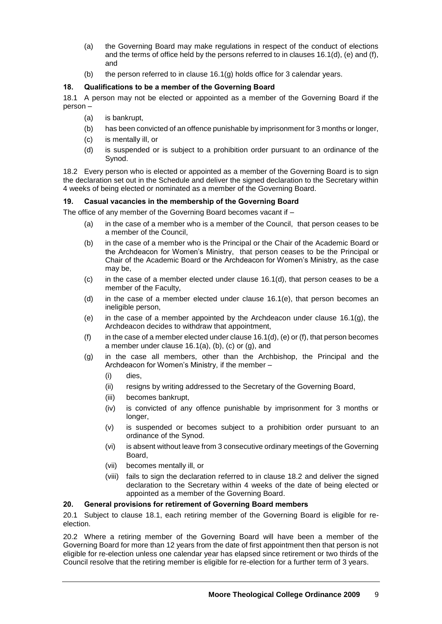- (a) the Governing Board may make regulations in respect of the conduct of elections and the terms of office held by the persons referred to in clauses 16.1(d), (e) and (f), and
- (b) the person referred to in clause  $16.1(q)$  holds office for 3 calendar years.

# **18. Qualifications to be a member of the Governing Board**

18.1 A person may not be elected or appointed as a member of the Governing Board if the person –

- (a) is bankrupt,
- (b) has been convicted of an offence punishable by imprisonment for 3 months or longer,
- (c) is mentally ill, or
- (d) is suspended or is subject to a prohibition order pursuant to an ordinance of the Synod.

18.2 Every person who is elected or appointed as a member of the Governing Board is to sign the declaration set out in the Schedule and deliver the signed declaration to the Secretary within 4 weeks of being elected or nominated as a member of the Governing Board.

## **19. Casual vacancies in the membership of the Governing Board**

The office of any member of the Governing Board becomes vacant if –

- (a) in the case of a member who is a member of the Council, that person ceases to be a member of the Council,
- (b) in the case of a member who is the Principal or the Chair of the Academic Board or the Archdeacon for Women's Ministry, that person ceases to be the Principal or Chair of the Academic Board or the Archdeacon for Women's Ministry, as the case may be,
- $(c)$  in the case of a member elected under clause 16.1(d), that person ceases to be a member of the Faculty,
- (d) in the case of a member elected under clause 16.1(e), that person becomes an ineligible person,
- (e) in the case of a member appointed by the Archdeacon under clause 16.1(g), the Archdeacon decides to withdraw that appointment,
- (f) in the case of a member elected under clause  $16.1(d)$ , (e) or (f), that person becomes a member under clause 16.1(a), (b), (c) or (g), and
- (g) in the case all members, other than the Archbishop, the Principal and the Archdeacon for Women's Ministry, if the member –
	- (i) dies,
	- (ii) resigns by writing addressed to the Secretary of the Governing Board,
	- (iii) becomes bankrupt,
	- (iv) is convicted of any offence punishable by imprisonment for 3 months or longer,
	- (v) is suspended or becomes subject to a prohibition order pursuant to an ordinance of the Synod.
	- (vi) is absent without leave from 3 consecutive ordinary meetings of the Governing Board,
	- (vii) becomes mentally ill, or
	- (viii) fails to sign the declaration referred to in clause 18.2 and deliver the signed declaration to the Secretary within 4 weeks of the date of being elected or appointed as a member of the Governing Board.

## **20. General provisions for retirement of Governing Board members**

20.1 Subject to clause 18.1, each retiring member of the Governing Board is eligible for reelection.

20.2 Where a retiring member of the Governing Board will have been a member of the Governing Board for more than 12 years from the date of first appointment then that person is not eligible for re-election unless one calendar year has elapsed since retirement or two thirds of the Council resolve that the retiring member is eligible for re-election for a further term of 3 years.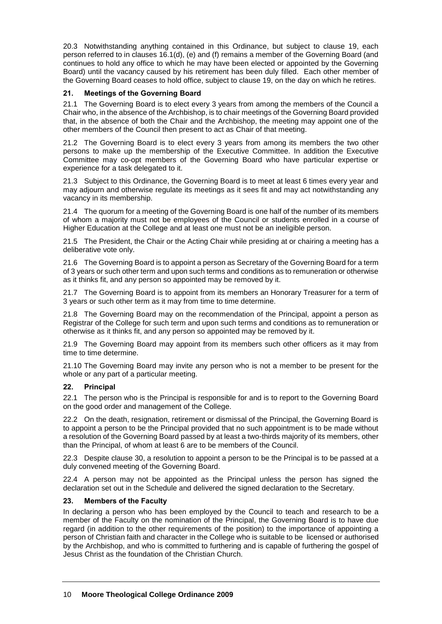20.3 Notwithstanding anything contained in this Ordinance, but subject to clause 19, each person referred to in clauses 16.1(d), (e) and (f) remains a member of the Governing Board (and continues to hold any office to which he may have been elected or appointed by the Governing Board) until the vacancy caused by his retirement has been duly filled. Each other member of the Governing Board ceases to hold office, subject to clause 19, on the day on which he retires.

## **21. Meetings of the Governing Board**

21.1 The Governing Board is to elect every 3 years from among the members of the Council a Chair who, in the absence of the Archbishop, is to chair meetings of the Governing Board provided that, in the absence of both the Chair and the Archbishop, the meeting may appoint one of the other members of the Council then present to act as Chair of that meeting.

21.2 The Governing Board is to elect every 3 years from among its members the two other persons to make up the membership of the Executive Committee. In addition the Executive Committee may co-opt members of the Governing Board who have particular expertise or experience for a task delegated to it.

21.3 Subject to this Ordinance, the Governing Board is to meet at least 6 times every year and may adjourn and otherwise regulate its meetings as it sees fit and may act notwithstanding any vacancy in its membership.

21.4 The quorum for a meeting of the Governing Board is one half of the number of its members of whom a majority must not be employees of the Council or students enrolled in a course of Higher Education at the College and at least one must not be an ineligible person.

21.5 The President, the Chair or the Acting Chair while presiding at or chairing a meeting has a deliberative vote only.

21.6 The Governing Board is to appoint a person as Secretary of the Governing Board for a term of 3 years or such other term and upon such terms and conditions as to remuneration or otherwise as it thinks fit, and any person so appointed may be removed by it.

21.7 The Governing Board is to appoint from its members an Honorary Treasurer for a term of 3 years or such other term as it may from time to time determine.

21.8 The Governing Board may on the recommendation of the Principal, appoint a person as Registrar of the College for such term and upon such terms and conditions as to remuneration or otherwise as it thinks fit, and any person so appointed may be removed by it.

21.9 The Governing Board may appoint from its members such other officers as it may from time to time determine.

21.10 The Governing Board may invite any person who is not a member to be present for the whole or any part of a particular meeting.

## **22. Principal**

22.1 The person who is the Principal is responsible for and is to report to the Governing Board on the good order and management of the College.

22.2 On the death, resignation, retirement or dismissal of the Principal, the Governing Board is to appoint a person to be the Principal provided that no such appointment is to be made without a resolution of the Governing Board passed by at least a two-thirds majority of its members, other than the Principal, of whom at least 6 are to be members of the Council.

22.3 Despite clause 30, a resolution to appoint a person to be the Principal is to be passed at a duly convened meeting of the Governing Board.

22.4 A person may not be appointed as the Principal unless the person has signed the declaration set out in the Schedule and delivered the signed declaration to the Secretary.

## **23. Members of the Faculty**

In declaring a person who has been employed by the Council to teach and research to be a member of the Faculty on the nomination of the Principal, the Governing Board is to have due regard (in addition to the other requirements of the position) to the importance of appointing a person of Christian faith and character in the College who is suitable to be licensed or authorised by the Archbishop, and who is committed to furthering and is capable of furthering the gospel of Jesus Christ as the foundation of the Christian Church.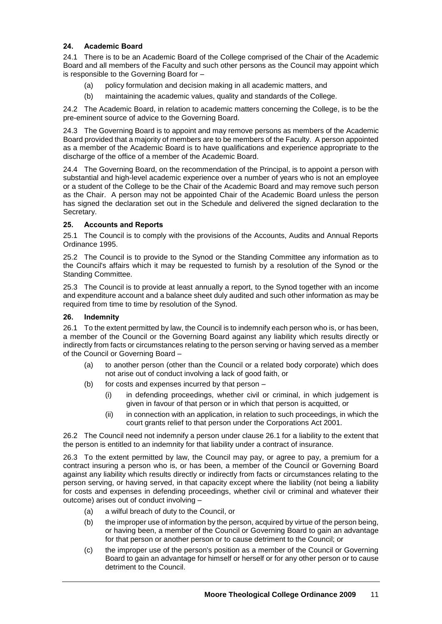# **24. Academic Board**

24.1 There is to be an Academic Board of the College comprised of the Chair of the Academic Board and all members of the Faculty and such other persons as the Council may appoint which is responsible to the Governing Board for –

- (a) policy formulation and decision making in all academic matters, and
- (b) maintaining the academic values, quality and standards of the College.

24.2 The Academic Board, in relation to academic matters concerning the College, is to be the pre-eminent source of advice to the Governing Board.

24.3 The Governing Board is to appoint and may remove persons as members of the Academic Board provided that a majority of members are to be members of the Faculty. A person appointed as a member of the Academic Board is to have qualifications and experience appropriate to the discharge of the office of a member of the Academic Board.

24.4 The Governing Board, on the recommendation of the Principal, is to appoint a person with substantial and high-level academic experience over a number of years who is not an employee or a student of the College to be the Chair of the Academic Board and may remove such person as the Chair. A person may not be appointed Chair of the Academic Board unless the person has signed the declaration set out in the Schedule and delivered the signed declaration to the Secretary.

# **25. Accounts and Reports**

25.1 The Council is to comply with the provisions of the Accounts, Audits and Annual Reports Ordinance 1995.

25.2 The Council is to provide to the Synod or the Standing Committee any information as to the Council's affairs which it may be requested to furnish by a resolution of the Synod or the Standing Committee.

25.3 The Council is to provide at least annually a report, to the Synod together with an income and expenditure account and a balance sheet duly audited and such other information as may be required from time to time by resolution of the Synod.

## **26. Indemnity**

26.1 To the extent permitted by law, the Council is to indemnify each person who is, or has been, a member of the Council or the Governing Board against any liability which results directly or indirectly from facts or circumstances relating to the person serving or having served as a member of the Council or Governing Board –

- (a) to another person (other than the Council or a related body corporate) which does not arise out of conduct involving a lack of good faith, or
- (b) for costs and expenses incurred by that person
	- (i) in defending proceedings, whether civil or criminal, in which judgement is given in favour of that person or in which that person is acquitted, or
	- (ii) in connection with an application, in relation to such proceedings, in which the court grants relief to that person under the Corporations Act 2001.

26.2 The Council need not indemnify a person under clause 26.1 for a liability to the extent that the person is entitled to an indemnity for that liability under a contract of insurance.

26.3 To the extent permitted by law, the Council may pay, or agree to pay, a premium for a contract insuring a person who is, or has been, a member of the Council or Governing Board against any liability which results directly or indirectly from facts or circumstances relating to the person serving, or having served, in that capacity except where the liability (not being a liability for costs and expenses in defending proceedings, whether civil or criminal and whatever their outcome) arises out of conduct involving –

- (a) a wilful breach of duty to the Council, or
- (b) the improper use of information by the person, acquired by virtue of the person being, or having been, a member of the Council or Governing Board to gain an advantage for that person or another person or to cause detriment to the Council; or
- (c) the improper use of the person's position as a member of the Council or Governing Board to gain an advantage for himself or herself or for any other person or to cause detriment to the Council.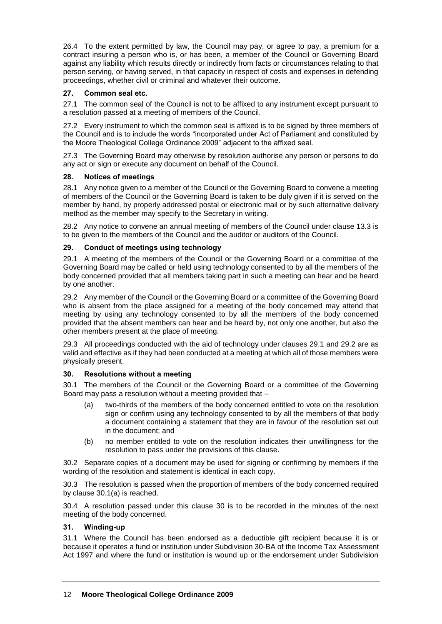26.4 To the extent permitted by law, the Council may pay, or agree to pay, a premium for a contract insuring a person who is, or has been, a member of the Council or Governing Board against any liability which results directly or indirectly from facts or circumstances relating to that person serving, or having served, in that capacity in respect of costs and expenses in defending proceedings, whether civil or criminal and whatever their outcome.

# **27. Common seal etc.**

27.1 The common seal of the Council is not to be affixed to any instrument except pursuant to a resolution passed at a meeting of members of the Council.

27.2 Every instrument to which the common seal is affixed is to be signed by three members of the Council and is to include the words "incorporated under Act of Parliament and constituted by the Moore Theological College Ordinance 2009" adjacent to the affixed seal.

27.3 The Governing Board may otherwise by resolution authorise any person or persons to do any act or sign or execute any document on behalf of the Council.

## **28. Notices of meetings**

28.1 Any notice given to a member of the Council or the Governing Board to convene a meeting of members of the Council or the Governing Board is taken to be duly given if it is served on the member by hand, by properly addressed postal or electronic mail or by such alternative delivery method as the member may specify to the Secretary in writing.

28.2 Any notice to convene an annual meeting of members of the Council under clause 13.3 is to be given to the members of the Council and the auditor or auditors of the Council.

# **29. Conduct of meetings using technology**

29.1 A meeting of the members of the Council or the Governing Board or a committee of the Governing Board may be called or held using technology consented to by all the members of the body concerned provided that all members taking part in such a meeting can hear and be heard by one another.

29.2 Any member of the Council or the Governing Board or a committee of the Governing Board who is absent from the place assigned for a meeting of the body concerned may attend that meeting by using any technology consented to by all the members of the body concerned provided that the absent members can hear and be heard by, not only one another, but also the other members present at the place of meeting.

29.3 All proceedings conducted with the aid of technology under clauses 29.1 and 29.2 are as valid and effective as if they had been conducted at a meeting at which all of those members were physically present.

## **30. Resolutions without a meeting**

30.1 The members of the Council or the Governing Board or a committee of the Governing Board may pass a resolution without a meeting provided that –

- (a) two-thirds of the members of the body concerned entitled to vote on the resolution sign or confirm using any technology consented to by all the members of that body a document containing a statement that they are in favour of the resolution set out in the document; and
- (b) no member entitled to vote on the resolution indicates their unwillingness for the resolution to pass under the provisions of this clause.

30.2 Separate copies of a document may be used for signing or confirming by members if the wording of the resolution and statement is identical in each copy.

30.3 The resolution is passed when the proportion of members of the body concerned required by clause 30.1(a) is reached.

30.4 A resolution passed under this clause 30 is to be recorded in the minutes of the next meeting of the body concerned.

## **31. Winding-up**

31.1 Where the Council has been endorsed as a deductible gift recipient because it is or because it operates a fund or institution under Subdivision 30-BA of the Income Tax Assessment Act 1997 and where the fund or institution is wound up or the endorsement under Subdivision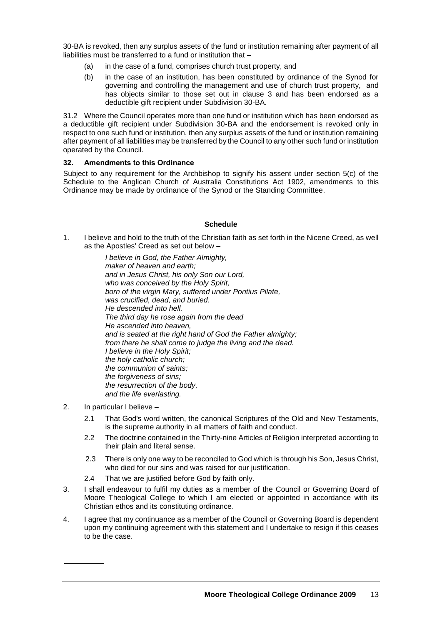30-BA is revoked, then any surplus assets of the fund or institution remaining after payment of all liabilities must be transferred to a fund or institution that –

- (a) in the case of a fund, comprises church trust property, and
- (b) in the case of an institution, has been constituted by ordinance of the Synod for governing and controlling the management and use of church trust property, and has objects similar to those set out in clause 3 and has been endorsed as a deductible gift recipient under Subdivision 30-BA.

31.2 Where the Council operates more than one fund or institution which has been endorsed as a deductible gift recipient under Subdivision 30-BA and the endorsement is revoked only in respect to one such fund or institution, then any surplus assets of the fund or institution remaining after payment of all liabilities may be transferred by the Council to any other such fund or institution operated by the Council.

## **32. Amendments to this Ordinance**

Subject to any requirement for the Archbishop to signify his assent under section 5(c) of the Schedule to the Anglican Church of Australia Constitutions Act 1902, amendments to this Ordinance may be made by ordinance of the Synod or the Standing Committee.

# **Schedule**

1. I believe and hold to the truth of the Christian faith as set forth in the Nicene Creed, as well as the Apostles' Creed as set out below –

> *I believe in God, the Father Almighty, maker of heaven and earth; and in Jesus Christ, his only Son our Lord, who was conceived by the Holy Spirit, born of the virgin Mary, suffered under Pontius Pilate, was crucified, dead, and buried. He descended into hell. The third day he rose again from the dead He ascended into heaven, and is seated at the right hand of God the Father almighty; from there he shall come to judge the living and the dead. I believe in the Holy Spirit; the holy catholic church; the communion of saints; the forgiveness of sins; the resurrection of the body, and the life everlasting.*

- 2. In particular I believe
	- 2.1 That God's word written, the canonical Scriptures of the Old and New Testaments, is the supreme authority in all matters of faith and conduct.
	- 2.2 The doctrine contained in the Thirty-nine Articles of Religion interpreted according to their plain and literal sense.
	- 2.3 There is only one way to be reconciled to God which is through his Son, Jesus Christ, who died for our sins and was raised for our justification.
	- 2.4 That we are justified before God by faith only.
- 3. I shall endeavour to fulfil my duties as a member of the Council or Governing Board of Moore Theological College to which I am elected or appointed in accordance with its Christian ethos and its constituting ordinance.
- 4. I agree that my continuance as a member of the Council or Governing Board is dependent upon my continuing agreement with this statement and I undertake to resign if this ceases to be the case.